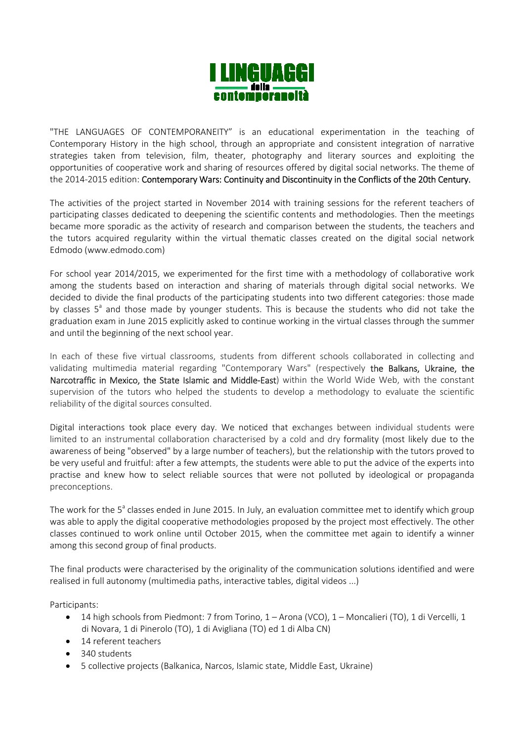

"THE LANGUAGES OF CONTEMPORANEITY" is an educational experimentation in the teaching of Contemporary History in the high school, through an appropriate and consistent integration of narrative strategies taken from television, film, theater, photography and literary sources and exploiting the opportunities of cooperative work and sharing of resources offered by digital social networks. The theme of the 2014-2015 edition: Contemporary Wars: Continuity and Discontinuity in the Conflicts of the 20th Century.

The activities of the project started in November 2014 with training sessions for the referent teachers of participating classes dedicated to deepening the scientific contents and methodologies. Then the meetings became more sporadic as the activity of research and comparison between the students, the teachers and the tutors acquired regularity within the virtual thematic classes created on the digital social network Edmodo (www.edmodo.com)

For school year 2014/2015, we experimented for the first time with a methodology of collaborative work among the students based on interaction and sharing of materials through digital social networks. We decided to divide the final products of the participating students into two different categories: those made by classes 5<sup>a</sup> and those made by younger students. This is because the students who did not take the graduation exam in June 2015 explicitly asked to continue working in the virtual classes through the summer and until the beginning of the next school year.

In each of these five virtual classrooms, students from different schools collaborated in collecting and validating multimedia material regarding "Contemporary Wars" (respectively the Balkans, Ukraine, the Narcotraffic in Mexico, the State Islamic and Middle-East) within the World Wide Web, with the constant supervision of the tutors who helped the students to develop a methodology to evaluate the scientific reliability of the digital sources consulted.

Digital interactions took place every day. We noticed that exchanges between individual students were limited to an instrumental collaboration characterised by a cold and dry formality (most likely due to the awareness of being "observed" by a large number of teachers), but the relationship with the tutors proved to be very useful and fruitful: after a few attempts, the students were able to put the advice of the experts into practise and knew how to select reliable sources that were not polluted by ideological or propaganda preconceptions.

The work for the 5<sup>a</sup> classes ended in June 2015. In July, an evaluation committee met to identify which group was able to apply the digital cooperative methodologies proposed by the project most effectively. The other classes continued to work online until October 2015, when the committee met again to identify a winner among this second group of final products.

The final products were characterised by the originality of the communication solutions identified and were realised in full autonomy (multimedia paths, interactive tables, digital videos ...)

Participants:

- 14 high schools from Piedmont: 7 from Torino,  $1 -$ Arona (VCO),  $1 -$ Moncalieri (TO), 1 di Vercelli, 1 di Novara, 1 di Pinerolo (TO), 1 di Avigliana (TO) ed 1 di Alba CN)
- 14 referent teachers
- 340 students
- 5 collective projects (Balkanica, Narcos, Islamic state, Middle East, Ukraine)